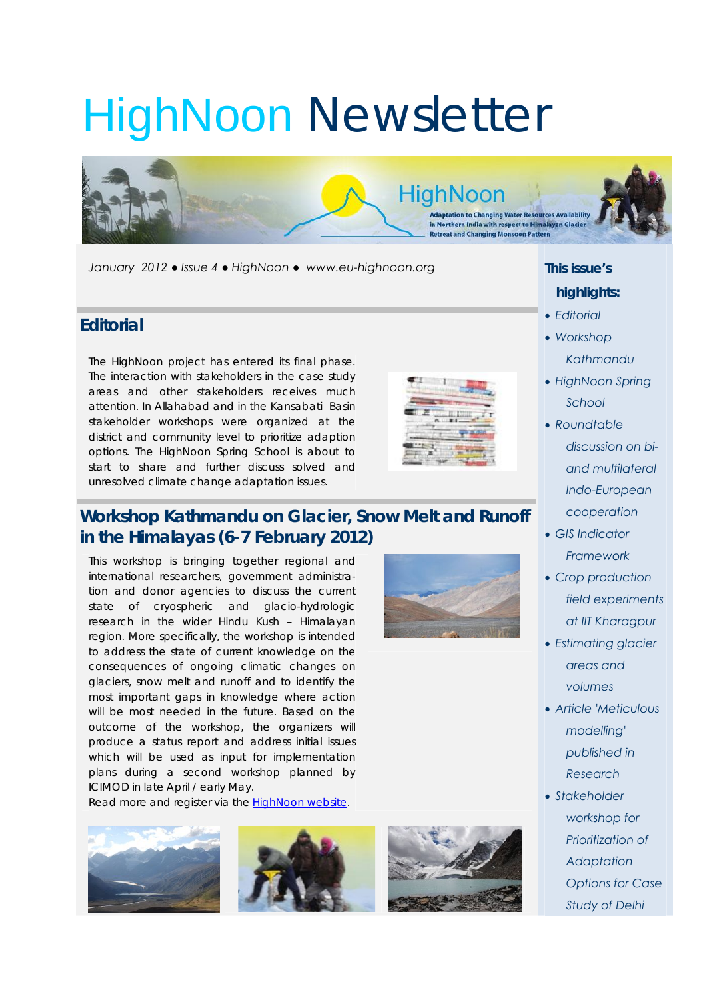# HighNoon Newsletter

*January 2012 ● Issue 4 ● HighNoon ● www.eu-highnoon.org* 

#### **Editorial**

The HighNoon project has entered its final phase. The interaction with stakeholders in the case study areas and other stakeholders receives much attention. In Allahabad and in the Kansabati Basin stakeholder workshops were organized at the district and community level to prioritize adaption options. The HighNoon Spring School is about to start to share and further discuss solved and unresolved climate change adaptation issues.



**HighNoon** 

**Adaptation to Changing Water Resources Availability** in Northern India with respect to Himalayan Glacier **Retreat and Changing Monsoon Pattern** 

## **Workshop Kathmandu on Glacier, Snow Melt and Runoff in the Himalayas (6-7 February 2012)**

This workshop is bringing together regional and international researchers, government administration and donor agencies to discuss the current state of cryospheric and glacio-hydrologic research in the wider Hindu Kush – Himalayan region. More specifically, the workshop is intended to address the state of current knowledge on the consequences of ongoing climatic changes on glaciers, snow melt and runoff and to identify the most important gaps in knowledge where action will be most needed in the future. Based on the outcome of the workshop, the organizers will produce a status report and address initial issues which will be used as input for implementation plans during a second workshop planned by ICIMOD in late April / early May.

Read more and register via the HighNoon website.



## *This issue's highlights:*

- *Editorial*
- *Workshop Kathmandu*
- *HighNoon Spring School*
- *Roundtable discussion on biand multilateral Indo-European cooperation*
- *GIS Indicator Framework*
- *Crop production field experiments at IIT Kharagpur*
- *Estimating glacier areas and volumes*
- *Article 'Meticulous modelling' published in Research*
- *Stakeholder workshop for Prioritization of Adaptation Options for Case Study of Delhi*



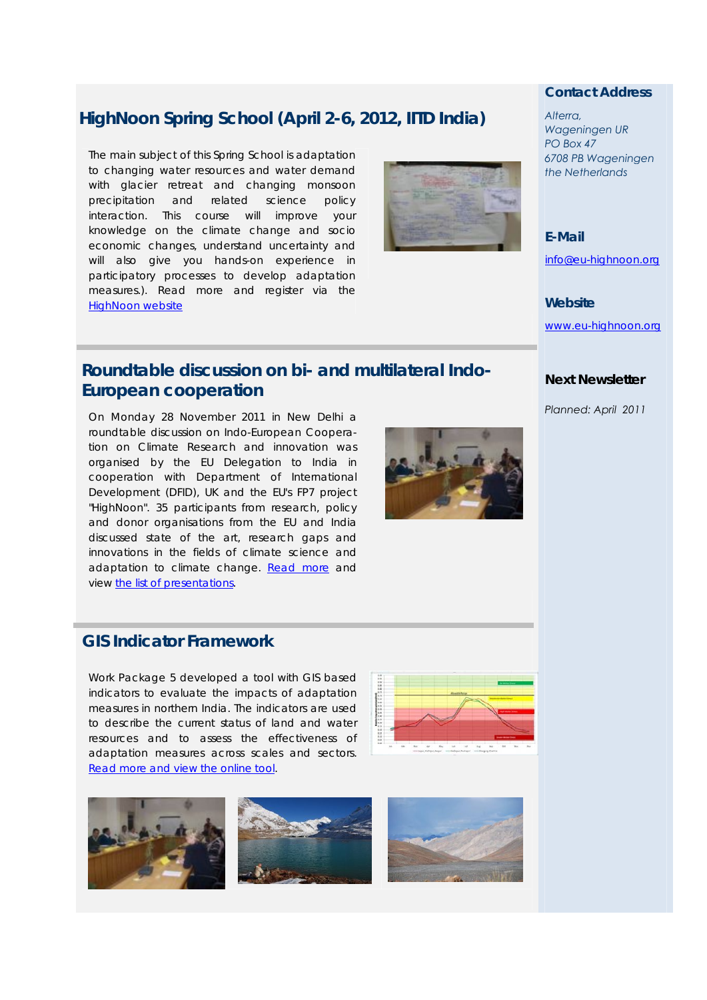## **HighNoon Spring School (April 2-6, 2012, IITD India)**

The main subject of this Spring School is adaptation to changing water resources and water demand with glacier retreat and changing monsoon precipitation and related science policy interaction. This course will improve your knowledge on the climate change and socio economic changes, understand uncertainty and will also give you hands-on experience in participatory processes to develop adaptation measures.). Read more and register via the HighNoon website



## **Roundtable discussion on bi- and multilateral Indo-European cooperation**

On Monday 28 November 2011 in New Delhi a roundtable discussion on Indo-European Cooperation on Climate Research and innovation was organised by the EU Delegation to India in cooperation with Department of International Development (DFID), UK and the EU's FP7 project "HighNoon". 35 participants from research, policy and donor organisations from the EU and India discussed state of the art, research gaps and innovations in the fields of climate science and adaptation to climate change. Read more and view the list of presentations.

#### **GIS Indicator Framework**

Work Package 5 developed a tool with GIS based indicators to evaluate the impacts of adaptation measures in northern India. The indicators are used to describe the current status of land and water resources and to assess the effectiveness of adaptation measures across scales and sectors. Read more and view the online tool.





#### *Contact Address*

*Alterra, Wageningen UR PO Box 47 6708 PB Wageningen the Netherlands* 

*E-Mail* 

info@eu-highnoon.org

*Website* 

www.eu-highnoon.org

#### *Next Newsletter*

*Planned: April 2011*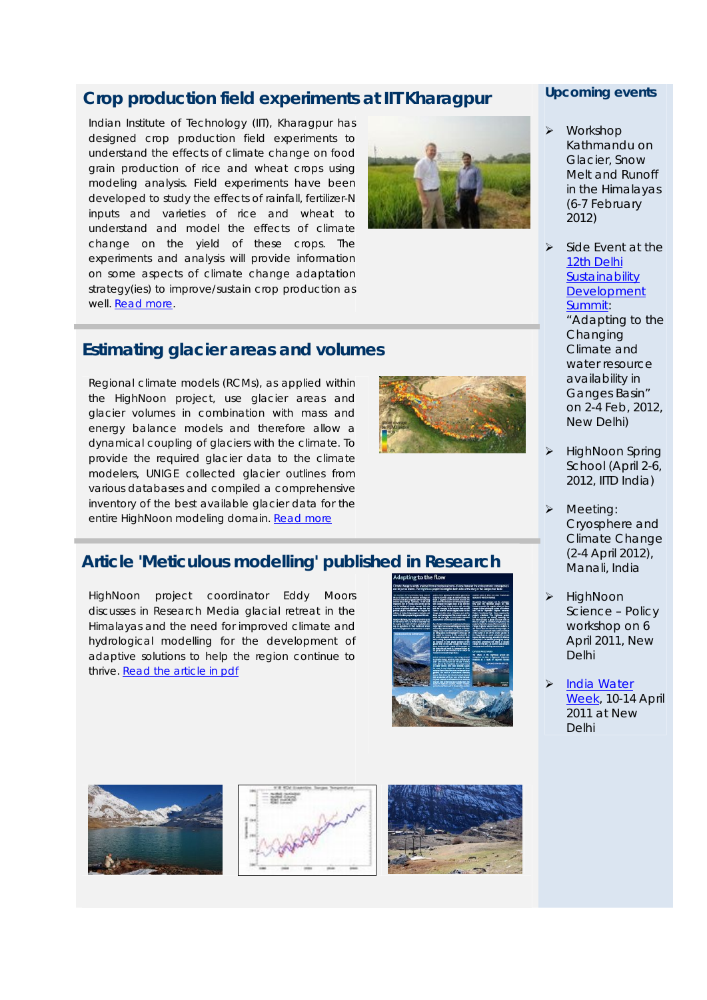## **Crop production field experiments at IIT Kharagpur**

Indian Institute of Technology (IIT), Kharagpur has designed crop production field experiments to understand the effects of climate change on food grain production of rice and wheat crops using modeling analysis. Field experiments have been developed to study the effects of rainfall, fertilizer-N inputs and varieties of rice and wheat to understand and model the effects of climate change on the yield of these crops. The experiments and analysis will provide information on some aspects of climate change adaptation strategy(ies) to improve/sustain crop production as well. Read more.



### **Estimating glacier areas and volumes**

Regional climate models (RCMs), as applied within the HighNoon project, use glacier areas and glacier volumes in combination with mass and energy balance models and therefore allow a dynamical coupling of glaciers with the climate. To provide the required glacier data to the climate modelers, UNIGE collected glacier outlines from various databases and compiled a comprehensive inventory of the best available glacier data for the entire HighNoon modeling domain. Read more



## **Article 'Meticulous modelling' published in Research**

HighNoon project coordinator Eddy Moors discusses in Research Media glacial retreat in the Himalayas and the need for improved climate and hydrological modelling for the development of adaptive solutions to help the region continue to thrive. Read the article in pdf



#### *Upcoming events*

- Workshop Kathmandu on Glacier, Snow Melt and Runoff in the Himalayas (6-7 February 2012)
- $\triangleright$  Side Event at the 12th Delhi **Sustainability Development** Summit: "Adapting to the **Changing** Climate and water resource availability in Ganges Basin" on 2-4 Feb, 2012, New Delhi)
- HighNoon Spring School (April 2-6, 2012, IITD India)
- Meeting: Cryosphere and Climate Change (2-4 April 2012), Manali, India
- **HighNoon** Science – Policy workshop on 6 April 2011, New Delhi
- India Water Week, 10-14 April 2011 at New Delhi